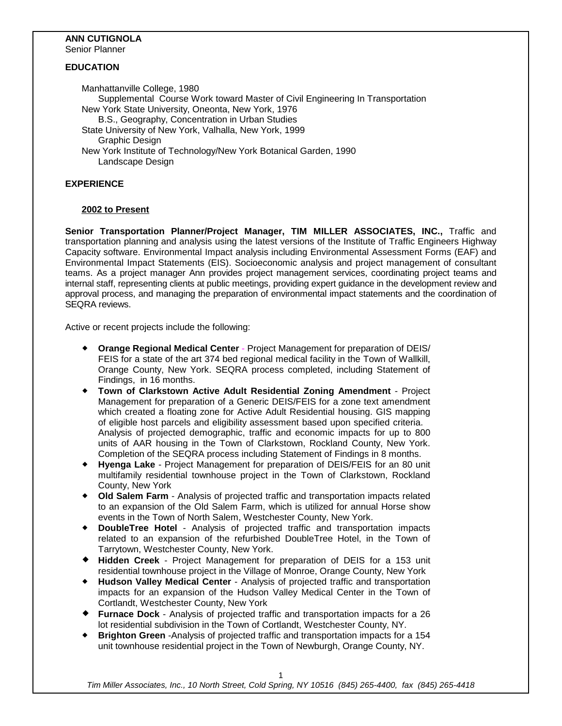# **ANN CUTIGNOLA**

Senior Planner

## **EDUCATION**

Manhattanville College, 1980 Supplemental Course Work toward Master of Civil Engineering In Transportation New York State University, Oneonta, New York, 1976 B.S., Geography, Concentration in Urban Studies State University of New York, Valhalla, New York, 1999 Graphic Design New York Institute of Technology/New York Botanical Garden, 1990 Landscape Design

# **EXPERIENCE**

# **2002 to Present**

**Senior Transportation Planner/Project Manager, TIM MILLER ASSOCIATES, INC.,** Traffic and transportation planning and analysis using the latest versions of the Institute of Traffic Engineers Highway Capacity software. Environmental Impact analysis including Environmental Assessment Forms (EAF) and Environmental Impact Statements (EIS). Socioeconomic analysis and project management of consultant teams. As a project manager Ann provides project management services, coordinating project teams and internal staff, representing clients at public meetings, providing expert guidance in the development review and approval process, and managing the preparation of environmental impact statements and the coordination of SEQRA reviews.

Active or recent projects include the following:

- **Orange Regional Medical Center** Project Management for preparation of DEIS/ FEIS for a state of the art 374 bed regional medical facility in the Town of Wallkill, Orange County, New York. SEQRA process completed, including Statement of Findings, in 16 months.
- **Town of Clarkstown Active Adult Residential Zoning Amendment** Project Management for preparation of a Generic DEIS/FEIS for a zone text amendment which created a floating zone for Active Adult Residential housing. GIS mapping of eligible host parcels and eligibility assessment based upon specified criteria. Analysis of projected demographic, traffic and economic impacts for up to 800 units of AAR housing in the Town of Clarkstown, Rockland County, New York. Completion of the SEQRA process including Statement of Findings in 8 months.
- **Hyenga Lake** Project Management for preparation of DEIS/FEIS for an 80 unit multifamily residential townhouse project in the Town of Clarkstown, Rockland County, New York
- **Old Salem Farm** Analysis of projected traffic and transportation impacts related to an expansion of the Old Salem Farm, which is utilized for annual Horse show events in the Town of North Salem, Westchester County, New York.
- **DoubleTree Hotel** Analysis of projected traffic and transportation impacts related to an expansion of the refurbished DoubleTree Hotel, in the Town of Tarrytown, Westchester County, New York.
- **Hidden Creek** Project Management for preparation of DEIS for a 153 unit residential townhouse project in the Village of Monroe, Orange County, New York
- **Hudson Valley Medical Center** Analysis of projected traffic and transportation impacts for an expansion of the Hudson Valley Medical Center in the Town of Cortlandt, Westchester County, New York
- **Furnace Dock** Analysis of projected traffic and transportation impacts for a 26 lot residential subdivision in the Town of Cortlandt, Westchester County, NY.
- **Brighton Green** -Analysis of projected traffic and transportation impacts for a 154 unit townhouse residential project in the Town of Newburgh, Orange County, NY.